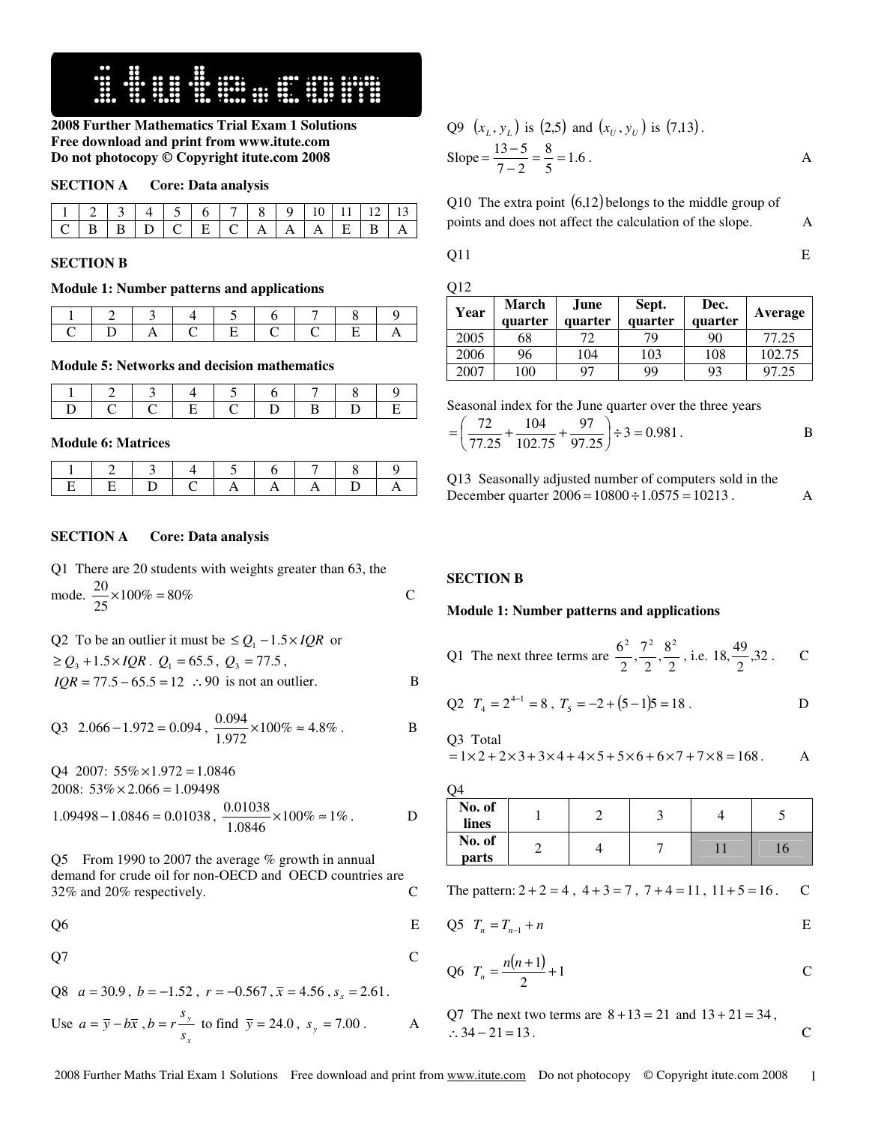

**2008 Further Mathematics Trial Exam 1 Solutions Free download and print from www.itute.com Do not photocopy © Copyright itute.com 2008**

# **SECTION A Core: Data analysis**

| 1 1 2 3 4 5 6 7 8 9 10 11 12 13 |  |  |  |  |  |  |
|---------------------------------|--|--|--|--|--|--|
|                                 |  |  |  |  |  |  |

#### **SECTION B**

# **Module 1: Number patterns and applications**

|  |           |  |            | $\begin{array}{ccc} \textcolor{red}{\mathbf{7}} & \textcolor{red}{\mathbf{1}} \end{array}$ |  |
|--|-----------|--|------------|--------------------------------------------------------------------------------------------|--|
|  | $\Lambda$ |  | $\sqrt{2}$ |                                                                                            |  |

#### **Module 5: Networks and decision mathematics**

|                                     | 1 2 3 4 5 6 7 8 |  |  |  |  |
|-------------------------------------|-----------------|--|--|--|--|
| I D I C I C I E I C I D I B I D I E |                 |  |  |  |  |

**Module 6: Matrices** 

# **SECTION A Core: Data analysis**

| Q1 There are 20 students with weights greater than 63, the |  |
|------------------------------------------------------------|--|
| mode. $\frac{20}{25} \times 100\% = 80\%$                  |  |

Q2 To be an outlier it must be 
$$
\le Q_1 - 1.5 \times IQR
$$
 or  
\n $\ge Q_3 + 1.5 \times IQR$ .  $Q_1 = 65.5$ ,  $Q_3 = 77.5$ ,  
\n $IQR = 77.5 - 65.5 = 12$   $\therefore$  90 is not an outlier.

Q3 2.066 - 1.972 = 0.094, 
$$
\frac{0.094}{1.972} \times 100\% \approx 4.8\%
$$
.

Q4 2007:  $55\% \times 1.972 = 1.0846$ 2008:  $53\% \times 2.066 = 1.09498$ 

$$
1.09498 - 1.0846 = 0.01038, \ \frac{0.01038}{1.0846} \times 100\% \approx 1\% .
$$
 D

Q5 From 1990 to 2007 the average % growth in annual demand for crude oil for non-OECD and OECD countries are 32% and 20% respectively. 32% and 20% respectively. C

 $Q6$  E

$$
Q7 \t\t C
$$

$$
Q8 \t a = 30.9, \t b = -1.52, \t r = -0.567, \t \bar{x} = 4.56, \t s_x = 2.61.
$$

Use 
$$
a = \overline{y} - b\overline{x}
$$
,  $b = r \frac{s_y}{s_x}$  to find  $\overline{y} = 24.0$ ,  $s_y = 7.00$ . A

Q9 
$$
(x_L, y_L)
$$
 is (2,5) and  $(x_U, y_U)$  is (7,13).  
Slope =  $\frac{13-5}{7-2} = \frac{8}{5} = 1.6$ .

Q10 The extra point  $(6,12)$  belongs to the middle group of points and does not affect the calculation of the slope. A

Q11 E

| Year | <b>March</b><br>quarter | June<br>quarter | Sept.<br>quarter | Dec.<br>quarter | Average |
|------|-------------------------|-----------------|------------------|-----------------|---------|
| 2005 | 68                      | 72              | 79               | 90              | 77.25   |
| 2006 | 96                      | 104             | 103              | 108             | 102.75  |
| 2007 | 100                     | 97              | 99               | 93              | 97.25   |

Seasonal index for the June quarter over the three years

$$
= \left(\frac{72}{77.25} + \frac{104}{102.75} + \frac{97}{97.25}\right) \div 3 = 0.981.
$$

Q13 Seasonally adjusted number of computers sold in the December quarter  $2006 = 10800 \div 1.0575 = 10213$ .

## **SECTION B**

#### **Module 1: Number patterns and applications**

| <sup>11</sup> The next three terms are $\frac{6^2}{2}, \frac{7^2}{2}, \frac{8^2}{2}$ , i.e. 18, $\frac{49}{2}$ , 32. |  |  |  |
|----------------------------------------------------------------------------------------------------------------------|--|--|--|
|                                                                                                                      |  |  |  |

Q2 
$$
T_4 = 2^{4-1} = 8
$$
,  $T_5 = -2 + (5-1)5 = 18$ . D

Q3 Total  

$$
-1 \times 2 + 2 \times 3 +
$$

 $= 1 \times 2 + 2 \times 3 + 3 \times 4 + 4 \times 5 + 5 \times 6 + 6 \times 7 + 7 \times 8 = 168$ . A

| No. of<br>lines |  |  |    |
|-----------------|--|--|----|
| No. of<br>parts |  |  | 16 |

The pattern:  $2 + 2 = 4$ ,  $4 + 3 = 7$ ,  $7 + 4 = 11$ ,  $11 + 5 = 16$ . C

$$
Q5 \t Tn = Tn-1 + n \t E
$$

Q6 
$$
T_n = \frac{n(n+1)}{2} + 1
$$
 C

Q7 The next two terms are  $8 + 13 = 21$  and  $13 + 21 = 34$ , ∴  $34 - 21 = 13$ .